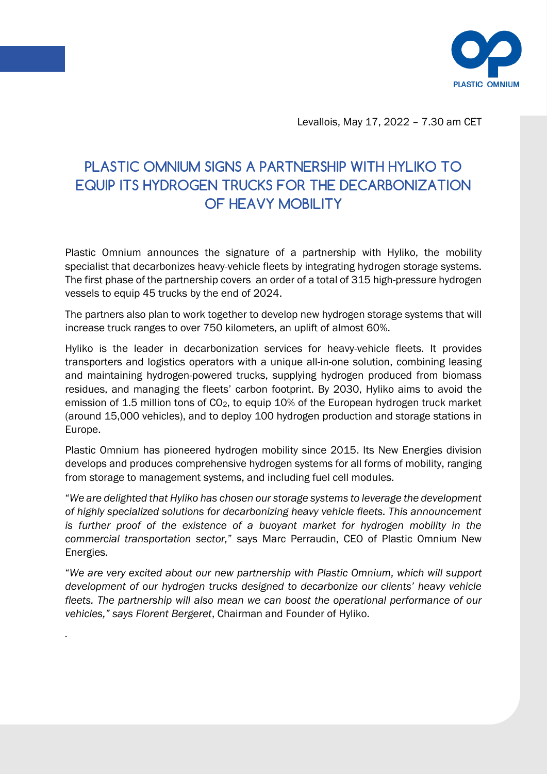

Levallois, May 17, 2022 – 7.30 am CET

## PLASTIC OMNIUM SIGNS A PARTNERSHIP WITH HYLIKO TO EQUIP ITS HYDROGEN TRUCKS FOR THE DECARBONIZATION OF HEAVY MOBILITY

Plastic Omnium announces the signature of a partnership with Hyliko, the mobility specialist that decarbonizes heavy-vehicle fleets by integrating hydrogen storage systems. The first phase of the partnership covers an order of a total of 315 high-pressure hydrogen vessels to equip 45 trucks by the end of 2024.

The partners also plan to work together to develop new hydrogen storage systems that will increase truck ranges to over 750 kilometers, an uplift of almost 60%.

Hyliko is the leader in decarbonization services for heavy-vehicle fleets. It provides transporters and logistics operators with a unique all-in-one solution, combining leasing and maintaining hydrogen-powered trucks, supplying hydrogen produced from biomass residues, and managing the fleets' carbon footprint. By 2030, Hyliko aims to avoid the emission of 1.5 million tons of CO<sub>2</sub>, to equip 10% of the European hydrogen truck market (around 15,000 vehicles), and to deploy 100 hydrogen production and storage stations in Europe.

Plastic Omnium has pioneered hydrogen mobility since 2015. Its New Energies division develops and produces comprehensive hydrogen systems for all forms of mobility, ranging from storage to management systems, and including fuel cell modules.

"*We are delighted that Hyliko has chosen our storage systems to leverage the development of highly specialized solutions for decarbonizing heavy vehicle fleets. This announcement is further proof of the existence of a buoyant market for hydrogen mobility in the commercial transportation sector,*" says Marc Perraudin, CEO of Plastic Omnium New Energies.

"*We are very excited about our new partnership with Plastic Omnium, which will support development of our hydrogen trucks designed to decarbonize our clients' heavy vehicle fleets. The partnership will also mean we can boost the operational performance of our vehicles," says Florent Bergeret*, Chairman and Founder of Hyliko.

*.*